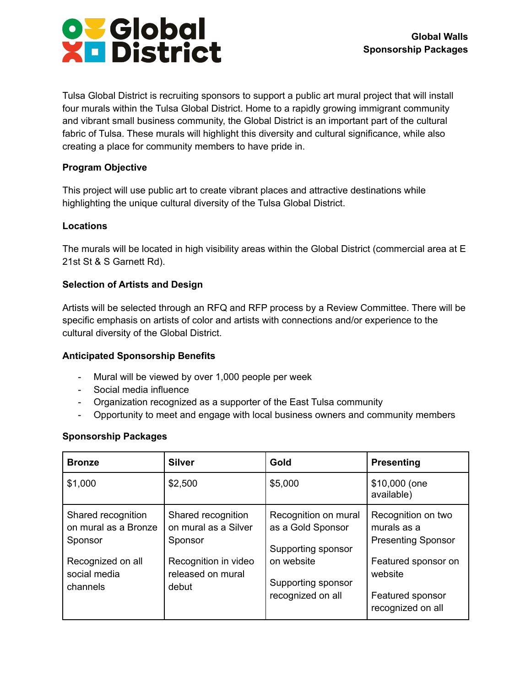

Tulsa Global District is recruiting sponsors to support a public art mural project that will install four murals within the Tulsa Global District. Home to a rapidly growing immigrant community and vibrant small business community, the Global District is an important part of the cultural fabric of Tulsa. These murals will highlight this diversity and cultural significance, while also creating a place for community members to have pride in.

# **Program Objective**

This project will use public art to create vibrant places and attractive destinations while highlighting the unique cultural diversity of the Tulsa Global District.

## **Locations**

The murals will be located in high visibility areas within the Global District (commercial area at E 21st St & S Garnett Rd).

## **Selection of Artists and Design**

Artists will be selected through an RFQ and RFP process by a Review Committee. There will be specific emphasis on artists of color and artists with connections and/or experience to the cultural diversity of the Global District.

## **Anticipated Sponsorship Benefits**

- Mural will be viewed by over 1,000 people per week
- Social media influence
- Organization recognized as a supporter of the East Tulsa community
- Opportunity to meet and engage with local business owners and community members

## **Sponsorship Packages**

| <b>Bronze</b>                                                                                          | <b>Silver</b>                                                                                               | Gold                                                                                                                     | <b>Presenting</b>                                                                                                                         |
|--------------------------------------------------------------------------------------------------------|-------------------------------------------------------------------------------------------------------------|--------------------------------------------------------------------------------------------------------------------------|-------------------------------------------------------------------------------------------------------------------------------------------|
| \$1,000                                                                                                | \$2,500                                                                                                     | \$5,000                                                                                                                  | \$10,000 (one<br>available)                                                                                                               |
| Shared recognition<br>on mural as a Bronze<br>Sponsor<br>Recognized on all<br>social media<br>channels | Shared recognition<br>on mural as a Silver<br>Sponsor<br>Recognition in video<br>released on mural<br>debut | Recognition on mural<br>as a Gold Sponsor<br>Supporting sponsor<br>on website<br>Supporting sponsor<br>recognized on all | Recognition on two<br>murals as a<br><b>Presenting Sponsor</b><br>Featured sponsor on<br>website<br>Featured sponsor<br>recognized on all |